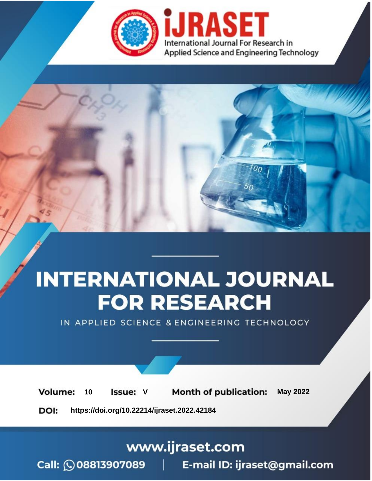

# **INTERNATIONAL JOURNAL FOR RESEARCH**

IN APPLIED SCIENCE & ENGINEERING TECHNOLOGY

Volume: **Month of publication: May 2022** 10 **Issue: V** 

DOI: https://doi.org/10.22214/ijraset.2022.42184

www.ijraset.com

 $Call: \bigcirc$ 08813907089 E-mail ID: ijraset@gmail.com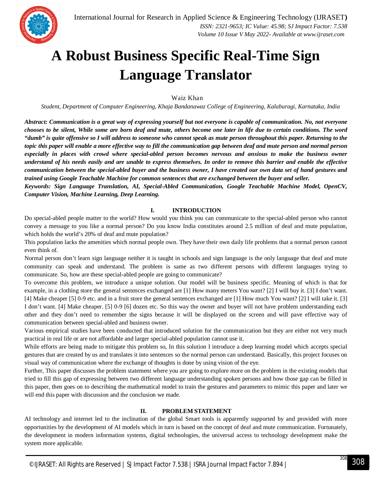

### **A Robust Business Specific Real-Time Sign Language Translator**

Waiz Khan

*Student, Department of Computer Engineering, Khaja Bandanawaz College of Engineering, Kalaburagi, Karnataka, India*

*Abstract: Communication is a great way of expressing yourself but not everyone is capable of communication. No, not everyone chooses to be silent, While some are born deaf and mute, others become one later in life due to certain conditions. The word "dumb" is quite offensive so I will address to someone who cannot speak as mute person throughout this paper. Returning to the topic this paper will enable a more effective way to fill the communication gap between deaf and mute person and normal person especially in places with crowd where special-abled person becomes nervous and anxious to make the business owner understand of his needs easily and are unable to express themselves. In order to remove this barrier and enable the effective communication between the special-abled buyer and the business owner, I have created our own data set of hand gestures and trained using Google Teachable Machine for common sentences that are exchanged between the buyer and seller.* 

*Keywords: Sign Language Translation, AI, Special-Abled Communication, Google Teachable Machine Model, OpenCV, Computer Vision, Machine Learning, Deep Learning.*

#### **I. INTRODUCTION**

Do special-abled people matter to the world? How would you think you can communicate to the special-abled person who cannot convey a message to you like a normal person? Do you know India constitutes around 2.5 million of deaf and mute population, which holds the world's 20% of deaf and mute population?

This population lacks the amenities which normal people own. They have their own daily life problems that a normal person cannot even think of.

Normal person don't learn sign language neither it is taught in schools and sign language is the only language that deaf and mute community can speak and understand. The problem is same as two different persons with different languages trying to communicate. So, how are these special-abled people are going to communicate?

To overcome this problem, we introduce a unique solution. Our model will be business specific. Meaning of which is that for example, in a clothing store the general sentences exchanged are [1] How many meters You want? [2] I will buy it. [3] I don't want. [4] Make cheaper [5] 0-9 etc. and in a fruit store the general sentences exchanged are [1] How much You want? [2] I will take it. [3] I don't want. [4] Make cheaper. [5] 0-9 [6] dozen etc. So this way the owner and buyer will not have problem understanding each other and they don't need to remember the signs because it will be displayed on the screen and will pave effective way of communication between special-abled and business owner.

Various empirical studies have been conducted that introduced solution for the communication but they are either not very much practical in real life or are not affordable and larger special-abled population cannot use it.

While efforts are being made to mitigate this problem so, In this solution I introduce a deep learning model which accepts special gestures that are created by us and translates it into sentences so the normal person can understand. Basically, this project focuses on visual way of communication where the exchange of thoughts is done by using vision of the eye.

Further, This paper discusses the problem statement where you are going to explore more on the problem in the existing models that tried to fill this gap of expressing between two different language understanding spoken persons and how those gap can be filled in this paper, then goes on to describing the mathematical model to train the gestures and parameters to mimic this paper and later we will end this paper with discussion and the conclusion we made.

#### **II. PROBLEM STATEMENT**

AI technology and internet led to the inclination of the global Smart tools is apparently supported by and provided with more opportunities by the development of AI models which in turn is based on the concept of deaf and mute communication. Fortunately, the development in modern information systems, digital technologies, the universal access to technology development make the system more applicable.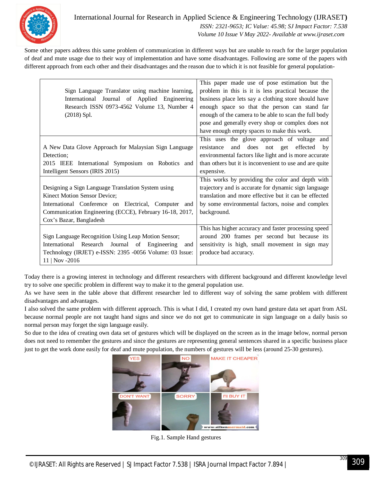

International Journal for Research in Applied Science & Engineering Technology (IJRASET**)**  *ISSN: 2321-9653; IC Value: 45.98; SJ Impact Factor: 7.538 Volume 10 Issue V May 2022- Available at www.ijraset.com*

Some other papers address this same problem of communication in different ways but are unable to reach for the larger population of deaf and mute usage due to their way of implementation and have some disadvantages. Following are some of the papers with different approach from each other and their disadvantages and the reason due to which it is not feasible for general population-

|                                                         | This paper made use of pose estimation but the          |
|---------------------------------------------------------|---------------------------------------------------------|
| Sign Language Translator using machine learning,        | problem in this is it is less practical because the     |
| International Journal of Applied Engineering            | business place lets say a clothing store should have    |
| Research ISSN 0973-4562 Volume 13, Number 4             | enough space so that the person can stand far           |
| $(2018)$ Spl.                                           | enough of the camera to be able to scan the full body   |
|                                                         | pose and generally every shop or complex does not       |
|                                                         | have enough empty spaces to make this work.             |
|                                                         | This uses the glove approach of voltage and             |
| A New Data Glove Approach for Malaysian Sign Language   | and does not get effected<br>resistance<br>by           |
| Detection;                                              | environmental factors like light and is more accurate   |
| 2015 IEEE International Symposium on Robotics and       | than others but it is inconvenient to use and are quite |
| Intelligent Sensors (IRIS 2015)                         | expensive.                                              |
|                                                         | This works by providing the color and depth with        |
| Designing a Sign Language Translation System using      | trajectory and is accurate for dynamic sign language    |
| Kinect Motion Sensor Device;                            | translation and more effective but it can be effected   |
| International Conference on Electrical, Computer and    | by some environmental factors, noise and complex        |
| Communication Engineering (ECCE), February 16-18, 2017, | background.                                             |
| Cox's Bazar, Bangladesh                                 |                                                         |
|                                                         | This has higher accuracy and faster processing speed    |
| Sign Language Recognition Using Leap Motion Sensor;     | around 200 frames per second but because its            |
| International Research Journal of Engineering<br>and    | sensitivity is high, small movement in sign may         |
| Technology (IRJET) e-ISSN: 2395 -0056 Volume: 03 Issue: | produce bad accuracy.                                   |
| $11   Nov - 2016$                                       |                                                         |

Today there is a growing interest in technology and different researchers with different background and different knowledge level try to solve one specific problem in different way to make it to the general population use.

As we have seen in the table above that different researcher led to different way of solving the same problem with different disadvantages and advantages.

I also solved the same problem with different approach. This is what I did, I created my own hand gesture data set apart from ASL because normal people are not taught hand signs and since we do not get to communicate in sign language on a daily basis so normal person may forget the sign language easily.

So due to the idea of creating own data set of gestures which will be displayed on the screen as in the image below, normal person does not need to remember the gestures and since the gestures are representing general sentences shared in a specific business place just to get the work done easily for deaf and mute population, the numbers of gestures will be less (around 25-30 gestures).



Fig.1. Sample Hand gestures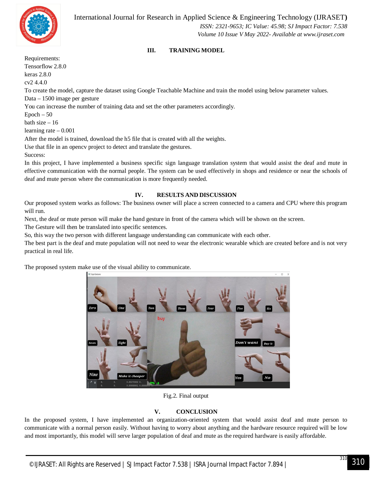

 *Volume 10 Issue V May 2022- Available at www.ijraset.com*

#### **III. TRAINING MODEL**

Requirements: Tensorflow 2.8.0 keras 2.8.0 cv2 4.4.0 To create the model, capture the dataset using Google Teachable Machine and train the model using below parameter values. Data – 1500 image per gesture You can increase the number of training data and set the other parameters accordingly.  $Epoch - 50$ bath size – 16 learning rate – 0.001 After the model is trained, download the h5 file that is created with all the weights. Use that file in an opencv project to detect and translate the gestures. Success:

In this project, I have implemented a business specific sign language translation system that would assist the deaf and mute in effective communication with the normal people. The system can be used effectively in shops and residence or near the schools of deaf and mute person where the communication is more frequently needed.

#### **IV. RESULTS AND DISCUSSION**

Our proposed system works as follows: The business owner will place a screen connected to a camera and CPU where this program will run.

Next, the deaf or mute person will make the hand gesture in front of the camera which will be shown on the screen.

The Gesture will then be translated into specific sentences.

So, this way the two person with different language understanding can communicate with each other.

The best part is the deaf and mute population will not need to wear the electronic wearable which are created before and is not very practical in real life.

The proposed system make use of the visual ability to communicate.



Fig.2. Final output

#### **V. CONCLUSION**

In the proposed system, I have implemented an organization-oriented system that would assist deaf and mute person to communicate with a normal person easily. Without having to worry about anything and the hardware resource required will be low and most importantly, this model will serve larger population of deaf and mute as the required hardware is easily affordable.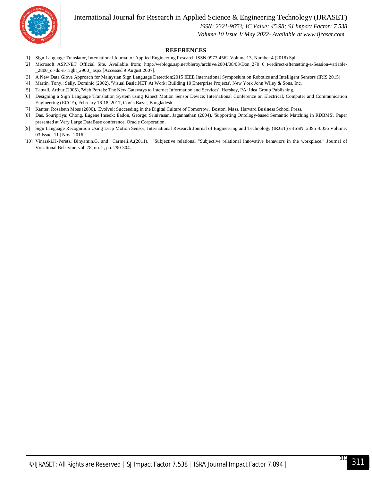International Journal for Research in Applied Science & Engineering Technology (IJRASET**)**



 *ISSN: 2321-9653; IC Value: 45.98; SJ Impact Factor: 7.538*

 *Volume 10 Issue V May 2022- Available at www.ijraset.com*

#### **REFERENCES**

- [1] Sign Language Translator, International Journal of Applied Engineering Research ISSN 0973-4562 Volume 13, Number 4 (2018) Spl.
- [2] Microsoft ASP.NET Official Site. Available from: http://weblogs.asp.net/bleroy/archive/2004/08/03/Don\_270 0\_t-redirect-aftersetting-a-Session-variable- \_2800\_or-do-it- right\_2900\_.aspx [Accessed 9 August 2007].
- [3] A New Data Glove Approach for Malaysian Sign Language Detection;2015 IEEE International Symposium on Robotics and Intelligent Sensors (IRIS 2015)
- [4] Martin, Tony.; Selly, Dominic (2002), 'Visual Basic.NET At Work: Building 10 Enterprise Projects', New York John Wiley & Sons, Inc.
- [5] Tatnall, Arthur (2005), 'Web Portals: The New Gateways to Internet Information and Services', Hershey, PA: Idea Group Publishing.
- [6] Designing a Sign Language Translation System using Kinect Motion Sensor Device; International Conference on Electrical, Computer and Communication Engineering (ECCE), February 16-18, 2017, Cox's Bazar, Bangladesh
- [7] Kanter, Rosabeth Moss (2000), 'Evolve!: Succeeding in the Digital Culture of Tomorrow', Boston, Mass. Harvard Business School Press.
- [8] Das, Souripriya; Chong, Eugene Inseok; Eadon, George; Srinivasan, Jagannathan (2004), 'Supporting Ontology-based Semantic Matching in RDBMS'. Paper presented at Very Large DataBase conference, Oracle Corporation.
- [9] Sign Language Recognition Using Leap Motion Sensor; International Research Journal of Engineering and Technology (IRJET) e-ISSN: 2395 -0056 Volume: 03 Issue: 11 | Nov -2016
- [10] Vinarski.H-Peretz, Binyamin.G, and Carmeli.A,(2011). "Subjective relational "Subjective relational innovative behaviors in the workplace." Journal of Vocational Behavior, vol. 78, no. 2, pp. 290-304.